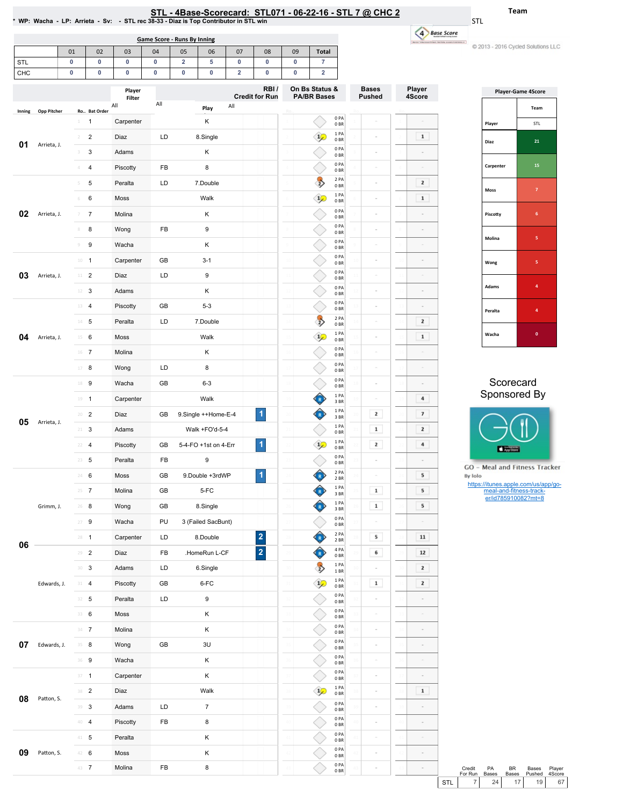| L - 4Base-Scorecard: STL071 - 06-22-16 - STL 7 @ CHC 2 |
|--------------------------------------------------------|
|--------------------------------------------------------|

0PA 0BR 0PA 0BR  $\begin{array}{c} 1 \ \text{PA} \ 0 \ \text{BR} \end{array}$ 0PA 0BR 0PA 0BR 0PA 0BR 0PA 0BR 0PA 0BR

 $\overline{1}$ 

◇ €

 $\sim$ 

 $\sim$ 

 $\sim$ 

 $\sim$  $\bar{z}$ 

4 Base Score

.<br>Nasa masunya ata

Player 4Score

 $\mathbf{1}$  $\sim$  $\sim$  $\overline{2}$  $\,$   $\,$  $\sim$  $\bar{z}$  $\sim$ 

 $\overline{\phantom{a}}$  $\overline{\mathbf{2}}$  $\mathbf 1$  $\sim$ 

 $\sim$  $\blacksquare$  <br> 4  $\overline{7}$  $\overline{\mathbf{2}}$  $\overline{4}$ 

 $\sim$ 

 $5$ 

 $5$  $5$ 

 ${\bf 11}$  $\bf{12}$  $\overline{\phantom{a}}$  $\overline{\mathbf{z}}$ 

> $\sim$  $\sim$  $\sim$

> > $\overline{\phantom{a}}$

 $\bar{a}$ 

 $\boxed{1}$ 

 $\sim$ 

 $\epsilon$ 

Team

C 2013 - 2016 Cycled Solutions LLC

STL

-

|            |             |                          |                     |                   | <b>Game Score - Runs By Inning</b> |                              |                      |                              |                         |        |                            |                               |    |               |                 |
|------------|-------------|--------------------------|---------------------|-------------------|------------------------------------|------------------------------|----------------------|------------------------------|-------------------------|--------|----------------------------|-------------------------------|----|---------------|-----------------|
|            |             | 01                       | 02                  | 03                | 04                                 | 05                           | 06                   | 07                           | 08                      | 09     | <b>Total</b>               |                               |    |               |                 |
| STL<br>CHC |             | 0<br>0                   | 0<br>0              | 0<br>0            | 0<br>0                             | $\overline{\mathbf{2}}$<br>0 | 5<br>0               | 0<br>$\overline{\mathbf{2}}$ | 0<br>0                  | 0<br>0 | $\overline{7}$<br>2        |                               |    |               |                 |
|            |             |                          |                     | Player            |                                    |                              |                      |                              | RBI/                    |        | On Bs Status &             |                               |    | <b>Bases</b>  | Pla             |
|            |             |                          |                     | Filter<br>All     | All                                |                              |                      | All                          | <b>Credit for Run</b>   |        | <b>PA/BR Bases</b>         |                               |    | <b>Pushed</b> | 4S              |
| Inning     | Opp Pitcher | 1                        | Ro Bat Order        |                   |                                    |                              | Play                 |                              |                         |        |                            | 0PA                           |    |               |                 |
|            |             | $\overline{\phantom{a}}$ | 1<br>$\overline{2}$ | Carpenter<br>Diaz | LD                                 |                              | Κ                    |                              |                         |        | $\mathbf{1}$               | 0BR<br>1 PA                   |    |               |                 |
| 01         | Arrieta, J. |                          | 3                   | Adams             |                                    |                              | 8.Single<br>Κ        |                              |                         |        |                            | 0 <sub>BR</sub><br>0PA        |    |               |                 |
|            |             | 4                        | 4                   | Piscotty          | FB                                 |                              | 8                    |                              |                         |        |                            | 0 <sub>BR</sub><br>0PA        |    |               |                 |
|            |             | 5                        | 5                   | Peralta           | LD                                 |                              | 7.Double             |                              |                         |        |                            | 0 <sub>BR</sub><br>2 PA       |    | $\sim$        |                 |
|            |             | 6                        | 6                   | Moss              |                                    |                              | Walk                 |                              |                         |        | $\frac{1}{2}$              | 0BR<br>1PA                    |    | ÷             |                 |
| 02         | Arrieta, J. |                          | $\overline{7}$      | Molina            |                                    |                              | K                    |                              |                         |        |                            | 0BR<br>0PA                    |    |               |                 |
|            |             | 8                        | 8                   | Wong              | FB                                 |                              | 9                    |                              |                         |        |                            | 0BR<br>0PA                    |    |               |                 |
|            |             | 9                        | 9                   | Wacha             |                                    |                              | K                    |                              |                         |        |                            | 0BR<br>0PA                    |    |               |                 |
|            |             |                          | $10 - 1$            | Carpenter         | GB                                 |                              | $3 - 1$              |                              |                         |        |                            | 0BR<br>0PA                    |    |               |                 |
| 03         | Arrieta, J. | 11                       | $\overline{2}$      | Diaz              | LD                                 |                              | 9                    |                              |                         |        |                            | 0 BR<br>0PA                   |    |               |                 |
|            |             | 12                       | 3                   | Adams             |                                    |                              | Κ                    |                              |                         |        |                            | 0BR<br>0PA                    |    |               |                 |
|            |             | 13                       | $\overline{4}$      | Piscotty          | GB                                 |                              | $5 - 3$              |                              |                         |        |                            | 0 <sub>BR</sub><br>0PA<br>0BR |    | o.            |                 |
|            |             |                          | $14 - 5$            | Peralta           | LD                                 |                              | 7.Double             |                              |                         |        | $\overrightarrow{2}$       | 2 PA<br>0 <sub>BR</sub>       |    | ÷             |                 |
| 04         | Arrieta, J. | $15 -$                   | 6                   | Moss              |                                    |                              | Walk                 |                              |                         |        | $\frac{1}{2}$              | 1PA<br>0BR                    |    | ÷             |                 |
|            |             |                          | 16 7                | Molina            |                                    |                              | Κ                    |                              |                         |        |                            | 0PA<br>0 BR                   |    | ÷             |                 |
|            |             | 17                       | 8                   | Wong              | LD                                 |                              | 8                    |                              |                         |        |                            | 0PA<br>0BR                    |    | ÷             |                 |
|            |             | 18                       | 9                   | Wacha             | GB                                 |                              | $6 - 3$              |                              |                         |        |                            | 0PA<br>0BR                    |    | ÷             | 18              |
|            |             | 19                       | $\mathbf{1}$        | Carpenter         |                                    |                              | Walk                 |                              |                         |        |                            | 1PA<br>3 BR                   | 19 |               | 19              |
|            |             | 20                       | $\overline{2}$      | Diaz              | GB                                 |                              | 9.Single ++Home-E-4  |                              | 1                       |        |                            | 1 PA<br>3 BR                  |    | 2             | $\overline{20}$ |
| 05         | Arrieta, J. | $21 -$                   | 3                   | Adams             |                                    |                              | Walk +FO'd-5-4       |                              |                         |        |                            | 1 PA<br>0BR                   |    | 1             |                 |
|            |             | 22                       | $\overline{4}$      | Piscotty          | GB                                 |                              | 5-4-FO +1st on 4-Err |                              | $\blacktriangleleft$    |        | $\mathbf{1}_{\mathcal{L}}$ | 1 PA<br>0B                    |    | 2             |                 |
|            |             |                          | $23 - 5$            | Peralta           | FB                                 |                              | 9                    |                              |                         |        |                            | 0PA<br>0BR                    |    | à.            |                 |
|            |             |                          | 24 6                | Moss              | GB                                 |                              | 9.Double +3rdWP      |                              | $\mathbf{1}$            |        |                            | 2 PA<br>2 BR                  |    | $\bar{ }$     |                 |
|            |             |                          | $25 - 7$            | Molina            | GB                                 |                              | 5-FC                 |                              |                         |        |                            | 1 PA<br>$3\;\mathrm{BR}$      |    | $\mathbf 1$   |                 |
|            | Grimm, J.   |                          | 26 8                | Wong              | GB                                 |                              | 8.Single             |                              |                         |        |                            | 1PA<br>3 BR                   |    | $\mathbf 1$   |                 |
|            |             |                          | $27 - 9$            | Wacha             | PU                                 |                              | 3 (Failed SacBunt)   |                              |                         |        |                            | 0PA<br>$0\;\mathrm{BR}$       |    | ÷             |                 |
|            |             |                          | $28 - 1$            | Carpenter         | LD                                 |                              | 8.Double             |                              | $\overline{\mathbf{c}}$ |        |                            | 2 PA<br>2 BR                  |    | 5             |                 |
| 06         |             |                          | $29 - 2$            | Diaz              | FB                                 |                              | .HomeRun L-CF        |                              | $\overline{\mathbf{2}}$ |        |                            | 4 PA<br>0 BR                  |    | 6             |                 |
|            |             |                          | 30 <sup>3</sup>     | Adams             | LD                                 |                              | 6.Single             |                              |                         |        |                            | 1PA<br>1 BR                   |    |               |                 |
|            | Edwards, J. |                          | $31 \t 4$           | Piscotty          | GB                                 |                              | 6-FC                 |                              |                         |        | $\frac{1}{2}$              | 1PA<br>0BR                    |    | $\mathbf 1$   |                 |
|            |             |                          | $32 - 5$            | Peralta           | LD                                 |                              | 9                    |                              |                         |        |                            | 0PA<br>0B                     |    |               |                 |
|            |             |                          | 33 6                | Moss              |                                    |                              | Κ                    |                              |                         |        |                            | 0PA<br>0B                     |    | ÷             |                 |
|            |             |                          | $34$ 7              | Molina            |                                    |                              | Κ                    |                              |                         |        |                            | 0 PA<br>0 BR                  |    | ÷             |                 |
| 07         | Edwards, J. |                          | $35 - 8$            | Wong              | GB                                 |                              | $3\mathsf{U}$        |                              |                         |        |                            | $0$ PA<br>0 BR                |    | $\equiv$      |                 |

36 9 Wacha K

37 1 Carpenter K 2 Diaz Walk 3 Adams LD 7 **4 Piscotty** FB 8

41 5 Peralta K 42 **6** Moss K 43 7 Molina FB 8

08 Patton, S.

09 Patton, S.

|              | <b>Player-Game 4Score</b> |  |  |  |  |  |
|--------------|---------------------------|--|--|--|--|--|
|              | Team                      |  |  |  |  |  |
| Player       | <b>STL</b>                |  |  |  |  |  |
| Diaz         | 21                        |  |  |  |  |  |
| Carpenter    | 15                        |  |  |  |  |  |
| Moss         | $\overline{7}$            |  |  |  |  |  |
| Piscotty     | 6                         |  |  |  |  |  |
| Molina       | 5                         |  |  |  |  |  |
| Wong         | 5                         |  |  |  |  |  |
| <b>Adams</b> | 4                         |  |  |  |  |  |
| Peralta      | 4                         |  |  |  |  |  |
| Wacha        | $\bf{0}$                  |  |  |  |  |  |

## Scorecard Sponsored By



**GO** - Meal and Fitness Tracker By Iolo

https://itunes.apple.com/us/app/go-meal-and-fitness-track-er/id785910082?mt=8

|     | Credit  | PA           | RR.             | Bases           | Plaver |
|-----|---------|--------------|-----------------|-----------------|--------|
|     | For Run | <b>Bases</b> | <b>Bases</b>    | Pushed          | 4Score |
| STI |         | 24           | 17 <sup>1</sup> | 19 <sup>1</sup> | 67 I   |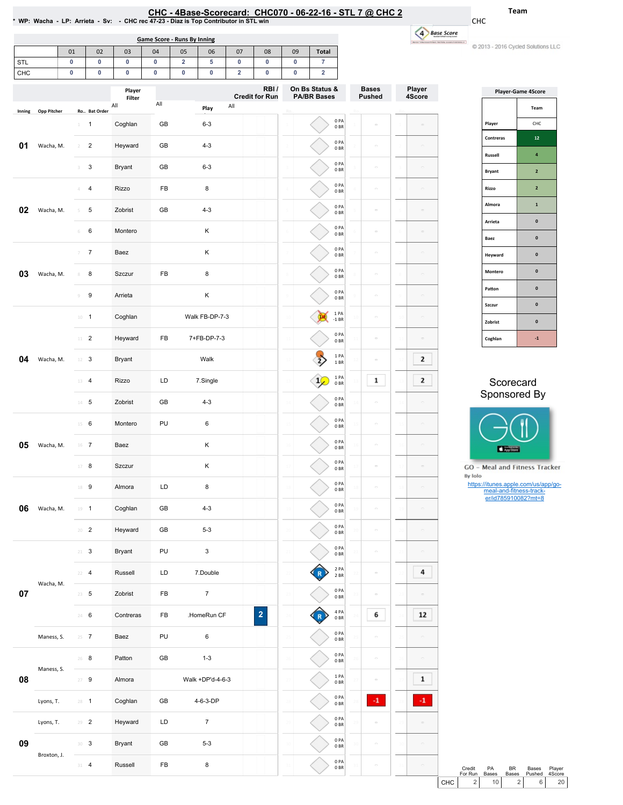| CHC - 4Base-Scorecard: CHC070 - 06-22-16 - STL 7 @ CHC 2                                      |  |
|-----------------------------------------------------------------------------------------------|--|
| * WP:  Wacha    LP:  Arrieta     Sv:       CHC rec 47-23   Diaz is Top Contributor in STL win |  |

01 | 02 | 03 | 04 | 05 | 06 | 07 | 08 | 09 | Total |

Game Score - Runs By Inning

CHC 4 Base Score

.<br>Nasa masunang at

-C 2013 - 2016 Cycled Solutions LLC

Team

| STL    |             | 0              | 0                | 0             | 0   | $\overline{\mathbf{2}}$ | 5                | 0           | 0                       | 0               | 7                  |                                       |                     |                      |
|--------|-------------|----------------|------------------|---------------|-----|-------------------------|------------------|-------------|-------------------------|-----------------|--------------------|---------------------------------------|---------------------|----------------------|
| CHC    |             | $\pmb{0}$      | 0                | 0             | 0   | 0                       | 0                | $\mathbf 2$ | 0                       | 0               | $\mathbf 2$        |                                       |                     |                      |
|        |             |                |                  | Player        |     |                         |                  |             | RBI/                    |                 | On Bs Status &     |                                       | <b>Bases</b>        | Player               |
|        |             |                |                  | Filter<br>All | All |                         |                  | All         | <b>Credit for Run</b>   |                 | <b>PA/BR Bases</b> |                                       | <b>Pushed</b>       | 4Score               |
| Inning | Opp Pitcher |                | Ro Bat Order     |               |     |                         | Play             |             |                         | R.              |                    |                                       |                     |                      |
|        |             | $\perp$        | $\mathbf{1}$     | Coghlan       | GB  |                         | $6 - 3$          |             |                         |                 |                    | 0PA<br>0BR                            | $\equiv$            |                      |
| 01     | Wacha, M.   | $\overline{2}$ | $\overline{2}$   | Heyward       | GB  |                         | $4 - 3$          |             |                         |                 |                    | 0PA<br>0BR                            | $\sim$              | $\equiv$             |
|        |             | 3              | 3                | Bryant        | GB  |                         | $6 - 3$          |             |                         |                 |                    | 0PA<br>0 <sub>BR</sub>                | $\equiv$            | $\equiv$             |
|        |             | Δ              | 4                | <b>Rizzo</b>  | FB  |                         | 8                |             |                         |                 |                    | 0PA<br>0 <sub>BR</sub>                | $\equiv$            | $\equiv$             |
| 02     | Wacha, M.   | 5              | 5                | Zobrist       | GB  |                         | $4 - 3$          |             |                         |                 |                    | 0PA<br>0 <sub>BR</sub>                | $\equiv$            | $\Box$               |
|        |             | $\,$ 6         | 6                | Montero       |     |                         | Κ                |             |                         |                 |                    | 0PA<br>0BR                            | $\sim$              | $\equiv$             |
|        |             | 7              | $\overline{7}$   | Baez          |     |                         | Κ                |             |                         |                 |                    | 0PA<br>0BR                            | $\equiv$            | $\equiv$             |
| 03     | Wacha, M.   | 8              | 8                | Szczur        | FB  |                         | 8                |             |                         |                 |                    | 0PA<br>0BR                            | $\sim$              | $\qquad \qquad \Box$ |
|        |             | $\mathcal G$   | $\boldsymbol{9}$ | Arrieta       |     |                         | Κ                |             |                         |                 |                    | 0PA<br>0 <sub>BR</sub>                | $\equiv$            | $\equiv$             |
|        |             |                | $10 - 1$         | Coghlan       |     |                         | Walk FB-DP-7-3   |             |                         | $\overline{10}$ |                    | 1 PA<br>$-1$ BR                       | ċ                   | $\equiv$             |
|        |             | $11 -$         | $\overline{2}$   | Heyward       | FB  |                         | 7+FB-DP-7-3      |             |                         | $\overline{11}$ |                    | 0PA<br>0B                             | $\equiv$            | $\equiv$             |
| 04     | Wacha, M.   |                | $12 \t3$         | Bryant        |     |                         | Walk             |             |                         |                 |                    | 1 P <sub>A</sub><br>1BR               | $\equiv$            | 2                    |
|        |             | 13             | $\overline{4}$   | Rizzo         | LD  |                         | 7.Single         |             |                         | 13              |                    | 1PA<br>0 <sub>BR</sub>                | 1                   | 2                    |
|        |             |                | $14 - 5$         | Zobrist       | GB  |                         | $4 - 3$          |             |                         | 14              |                    | 0PA<br>0BR                            | $\sim$              | ö                    |
|        |             | 15             | 6                | Montero       | PU  |                         | 6                |             |                         | 15              |                    | 0PA<br>0B                             | $\equiv$            | $\equiv$             |
| 05     | Wacha, M.   |                | $16$ 7           | Baez          |     |                         | Κ                |             |                         | 16              |                    | 0PA<br>0BR                            | $\sim$              | $\equiv$             |
|        |             |                | 17 8             | Szczur        |     |                         | κ                |             |                         | 17              |                    | 0PA<br>0BR                            | $\equiv$            | $\equiv$             |
|        |             |                | 18 9             | Almora        | LD  |                         | 8                |             |                         | 18              |                    | 0PA<br>0BR                            | $\equiv$            | $\equiv$             |
| 06     | Wacha, M.   |                | $19 - 1$         | Coghlan       | GB  |                         | $4 - 3$          |             |                         |                 |                    | 0PA<br>0BR                            | $\sim$              | $\equiv$             |
|        |             |                | $20$ – $2$       | Heyward       | GB  |                         | $5 - 3$          |             |                         | $\overline{20}$ |                    | 0PA<br>$0\;\ensuremath{\mathsf{BR}}$  |                     | ö                    |
|        |             |                | $21 - 3$         | Bryant        | PU  |                         | 3                |             |                         | $\overline{21}$ |                    | 0PA<br>0B                             | $\equiv$            | $\equiv$             |
|        | Wacha, M.   |                | $22 - 4$         | Russell       | LD  |                         | 7.Double         |             |                         | $\overline{2}$  |                    | 2 PA<br>2 BR                          | $\equiv$            | 4                    |
| 07     |             |                | $23 \t 5$        | Zobrist       | FB  |                         | $\boldsymbol{7}$ |             |                         | 23              |                    | 0PA<br>0BR                            | $\equiv$            | $\overline{a}$       |
|        |             |                | 24 6             | Contreras     | FB  |                         | .HomeRun CF      |             | $\overline{\mathbf{2}}$ | 24              |                    | 4 PA<br>$0\;\ensuremath{\mathsf{BR}}$ | 6                   | 12                   |
|        | Maness, S.  |                | $25 \t 7$        | Baez          | PU  |                         | 6                |             |                         | 25              |                    | 0 PA<br>$0\;\mathrm{BR}$              | $\bar{\phantom{a}}$ | $\Box$               |
|        | Maness, S.  |                | $26$ 8           | Patton        | GB  |                         | $1 - 3$          |             |                         | 26              |                    | 0PA<br>0B                             | $\equiv$            | $\hfill \square$     |
| 08     |             |                | $27 - 9$         | Almora        |     |                         | Walk +DP'd-4-6-3 |             |                         | 27              |                    | 1PA<br>0B                             | $\hfill \square$    | $\mathbf{1}$         |
|        | Lyons, T.   |                | $28 - 1$         | Coghlan       | GB  |                         | 4-6-3-DP         |             |                         | 28              |                    | 0PA<br>$0\;\mathrm{BR}$               | $-1$                | $-1$                 |
|        | Lyons, T.   |                | $29$ <b>2</b>    | Heyward       | LD  |                         | $\overline{7}$   |             |                         | 29              |                    | 0PA<br>$0\;\mathrm{BR}$               | $\equiv$            | $\equiv$             |
| 09     | Broxton, J. |                | 30 <sup>3</sup>  | Bryant        | GB  |                         | $5 - 3$          |             |                         | 30              |                    | 0PA<br>$0\;\mathrm{BR}$               | $\equiv$            | $\equiv$             |
|        |             |                | $31 - 4$         | Russell       | FB  |                         | 8                |             |                         |                 |                    | 0PA<br>0B                             | $\hfill \square$    | $\equiv$             |

| <b>Player-Game 4Score</b> |                |  |  |  |  |  |  |  |  |
|---------------------------|----------------|--|--|--|--|--|--|--|--|
|                           | Team           |  |  |  |  |  |  |  |  |
| Player                    | CHC            |  |  |  |  |  |  |  |  |
| Contreras                 | 12             |  |  |  |  |  |  |  |  |
| Russell                   | 4              |  |  |  |  |  |  |  |  |
| <b>Bryant</b>             | $\overline{2}$ |  |  |  |  |  |  |  |  |
| Rizzo                     | 2              |  |  |  |  |  |  |  |  |
| Almora                    | $\mathbf{1}$   |  |  |  |  |  |  |  |  |
| Arrieta                   | $\bf{0}$       |  |  |  |  |  |  |  |  |
| Baez                      | $\mathbf{0}$   |  |  |  |  |  |  |  |  |
| Heyward                   | $\bf{0}$       |  |  |  |  |  |  |  |  |
| Montero                   | $\mathbf{0}$   |  |  |  |  |  |  |  |  |
| Patton                    | $\mathbf{0}$   |  |  |  |  |  |  |  |  |
| Szczur                    | $\mathbf{0}$   |  |  |  |  |  |  |  |  |
| Zobrist                   | $\mathbf{0}$   |  |  |  |  |  |  |  |  |
| Coghlan                   | $-1$           |  |  |  |  |  |  |  |  |

## **Scorecard** Sponsored By



**GO** - Meal and Fitness Tracker By Iolo

https://itunes.apple.com/us/app/go-meal-and-fitness-track-er/id785910082?mt=8

|       | Credit<br>For Run | PA<br><b>Bases</b> | <b>BR</b><br><b>Bases</b> | Bases<br>Pushed | Player<br>4Score |  |
|-------|-------------------|--------------------|---------------------------|-----------------|------------------|--|
| снс I | 2 <sub>1</sub>    | 10 <sup>1</sup>    | 2 <sub>1</sub>            | 6 I             |                  |  |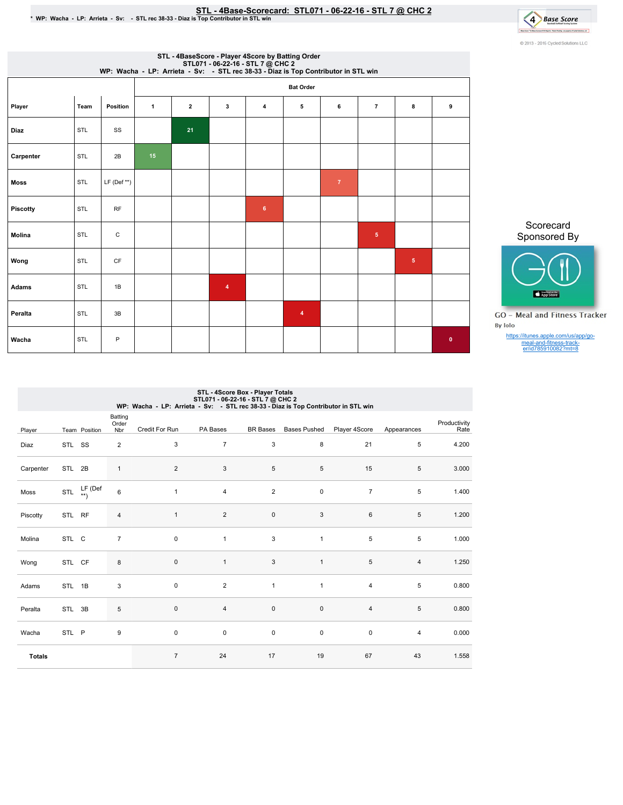# STL - 4Base-Scorecard: STL071 - 06-22-16 - STL 7 @ CHC 2<br>\* WP: Wacha - LP: Arrieta - Sv: - STL rec 38-33 - Diaz is Top Contributor in STL win



|                 |      |               |                 |              |                         | STL - 4BaseScore - Player 4Score by Batting Order<br>WP: Wacha - LP: Arrieta - Sv: - STL 7@ CHC 2<br>WP: Wacha - LP: Arrieta - Sv: - STL rec 38-33 - Diaz is Top Contributor in STL win |                         |              |                |   |           |
|-----------------|------|---------------|-----------------|--------------|-------------------------|-----------------------------------------------------------------------------------------------------------------------------------------------------------------------------------------|-------------------------|--------------|----------------|---|-----------|
|                 |      |               |                 |              |                         |                                                                                                                                                                                         | <b>Bat Order</b>        |              |                |   |           |
| Player          | Team | Position      | $\mathbf{1}$    | $\mathbf{2}$ | 3                       | 4                                                                                                                                                                                       | 5                       | 6            | $\overline{7}$ | 8 | 9         |
| Diaz            | STL  | SS            |                 | 21           |                         |                                                                                                                                                                                         |                         |              |                |   |           |
| Carpenter       | STL  | 2B            | 15 <sub>1</sub> |              |                         |                                                                                                                                                                                         |                         |              |                |   |           |
| <b>Moss</b>     | STL  | $LF (Def **)$ |                 |              |                         |                                                                                                                                                                                         |                         | $\mathbf{7}$ |                |   |           |
| <b>Piscotty</b> | STL  | RF            |                 |              |                         | $6\phantom{a}$                                                                                                                                                                          |                         |              |                |   |           |
| Molina          | STL  | C             |                 |              |                         |                                                                                                                                                                                         |                         |              | ${\bf 5}$      |   |           |
| Wong            | STL  | <b>CF</b>     |                 |              |                         |                                                                                                                                                                                         |                         |              |                | 5 |           |
| Adams           | STL  | 1B            |                 |              | $\overline{\mathbf{4}}$ |                                                                                                                                                                                         |                         |              |                |   |           |
| Peralta         | STL  | 3B            |                 |              |                         |                                                                                                                                                                                         | $\overline{\mathbf{4}}$ |              |                |   |           |
| Wacha           | STL  | P             |                 |              |                         |                                                                                                                                                                                         |                         |              |                |   | $\bullet$ |



Scorecard

**GO** - Meal and Fitness Tracker By Iolo

https://itunes.apple.com/us/app/go-meal-and-fitness-track-er/id785910082?mt=8

|               |                                          |               |                         | WP: Wacha - LP: Arrieta - Sv: - STL rec 38-33 - Diaz is Top Contributor in STL win | STL - 4Score Box - Player Totals<br>STL071 - 06-22-16 - STL 7 @ CHC 2 |                 |                     |                |                |                      |
|---------------|------------------------------------------|---------------|-------------------------|------------------------------------------------------------------------------------|-----------------------------------------------------------------------|-----------------|---------------------|----------------|----------------|----------------------|
| Player        |                                          | Team Position | Batting<br>Order<br>Nbr | Credit For Run                                                                     | PA Bases                                                              | <b>BR</b> Bases | <b>Bases Pushed</b> | Player 4Score  | Appearances    | Productivity<br>Rate |
| Diaz          | STL SS                                   |               | $\overline{2}$          | 3                                                                                  | $\overline{7}$                                                        | 3               | 8                   | 21             | 5              | 4.200                |
| Carpenter     | STL 2B                                   |               | $\mathbf{1}$            | $\overline{2}$                                                                     | 3                                                                     | 5               | 5                   | 15             | 5              | 3.000                |
| Moss          | STL $\overset{\text{L}\Gamma}{\ast\ast}$ | LF (Def       | 6                       | $\mathbf{1}$                                                                       | $\overline{4}$                                                        | $\overline{2}$  | $\mathbf 0$         | $\overline{7}$ | 5              | 1.400                |
| Piscotty      | STL RF                                   |               | $\overline{4}$          | $\mathbf{1}$                                                                       | $\overline{2}$                                                        | $\mathbf 0$     | 3                   | 6              | 5              | 1.200                |
| Molina        | STL C                                    |               | $\overline{7}$          | 0                                                                                  | $\mathbf{1}$                                                          | 3               | $\mathbf{1}$        | 5              | 5              | 1.000                |
| Wong          | STL CF                                   |               | 8                       | 0                                                                                  | $\mathbf{1}$                                                          | 3               | $\mathbf{1}$        | $\,$ 5 $\,$    | $\overline{4}$ | 1.250                |
| Adams         | STL 1B                                   |               | 3                       | 0                                                                                  | 2                                                                     | $\mathbf{1}$    | $\mathbf{1}$        | $\overline{4}$ | 5              | 0.800                |
| Peralta       | STL 3B                                   |               | 5                       | 0                                                                                  | $\overline{4}$                                                        | $\mathbf 0$     | $\mathsf 0$         | $\overline{4}$ | 5              | 0.800                |
| Wacha         | STL P                                    |               | 9                       | 0                                                                                  | $\pmb{0}$                                                             | 0               | $\pmb{0}$           | $\pmb{0}$      | $\overline{4}$ | 0.000                |
| <b>Totals</b> |                                          |               |                         | $\overline{7}$                                                                     | 24                                                                    | 17              | 19                  | 67             | 43             | 1.558                |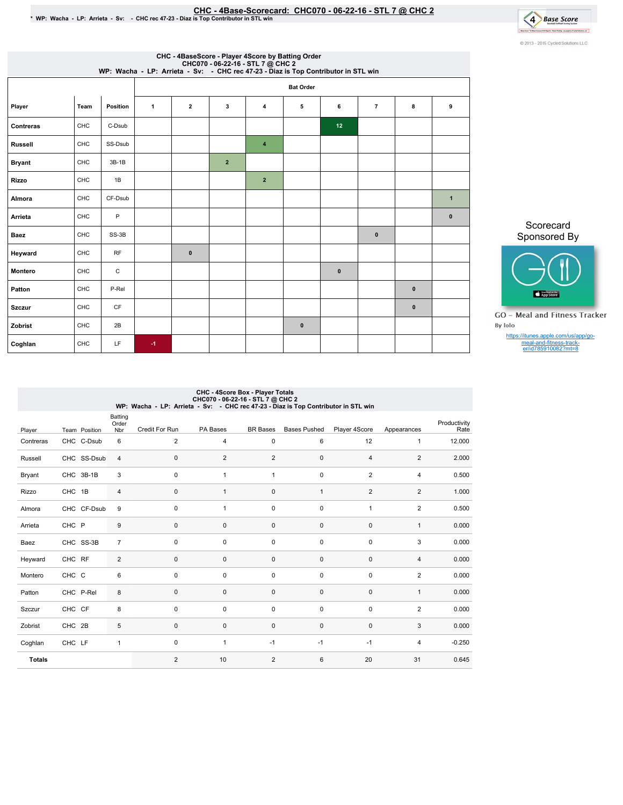# EHC - 4Base-Scorecard: CHC070 - 06-22-16 - STL 7 @ CHC 2<br>\* WP: Wacha - LP: Arrieta - Sv: → CHC rec 47-23 - Diaz is Top Contributor in STL win



|               |      |          |      |                                                                                                                                             |                | CHC - 4BaseScore - Player 4Score by Batting Order |             |          |                |             |              |  |  |  |
|---------------|------|----------|------|---------------------------------------------------------------------------------------------------------------------------------------------|----------------|---------------------------------------------------|-------------|----------|----------------|-------------|--------------|--|--|--|
|               |      |          |      | CHC070 - 06-22-16 - STL 7 @ CHC 2<br>WP: Wacha - LP: Arrieta - Sv: - CHC rec 47-23 - Diaz is Top Contributor in STL win<br><b>Bat Order</b> |                |                                                   |             |          |                |             |              |  |  |  |
| Player        | Team | Position | 1    | $\mathbf{2}$                                                                                                                                | 3              | 4                                                 | 5           | 6        | $\overline{7}$ | 8           | 9            |  |  |  |
| Contreras     | CHC  | C-Dsub   |      |                                                                                                                                             |                |                                                   |             | 12       |                |             |              |  |  |  |
| Russell       | CHC  | SS-Dsub  |      |                                                                                                                                             |                | $\boldsymbol{4}$                                  |             |          |                |             |              |  |  |  |
| <b>Bryant</b> | CHC  | $3B-1B$  |      |                                                                                                                                             | $\overline{2}$ |                                                   |             |          |                |             |              |  |  |  |
| Rizzo         | CHC  | 1B       |      |                                                                                                                                             |                | $\overline{2}$                                    |             |          |                |             |              |  |  |  |
| Almora        | CHC  | CF-Dsub  |      |                                                                                                                                             |                |                                                   |             |          |                |             | $\mathbf{1}$ |  |  |  |
| Arrieta       | CHC  | P        |      |                                                                                                                                             |                |                                                   |             |          |                |             | $\pmb{0}$    |  |  |  |
| Baez          | CHC  | SS-3B    |      |                                                                                                                                             |                |                                                   |             |          | $\mathbf 0$    |             |              |  |  |  |
| Heyward       | CHC  | RF       |      | $\bf{0}$                                                                                                                                    |                |                                                   |             |          |                |             |              |  |  |  |
| Montero       | CHC  | C        |      |                                                                                                                                             |                |                                                   |             | $\bf{0}$ |                |             |              |  |  |  |
| Patton        | CHC  | P-Rel    |      |                                                                                                                                             |                |                                                   |             |          |                | $\mathbf 0$ |              |  |  |  |
| Szczur        | CHC  | CF       |      |                                                                                                                                             |                |                                                   |             |          |                | $\pmb{0}$   |              |  |  |  |
| Zobrist       | CHC  | 2B       |      |                                                                                                                                             |                |                                                   | $\mathbf 0$ |          |                |             |              |  |  |  |
| Coghlan       | CHC  | LF       | $-1$ |                                                                                                                                             |                |                                                   |             |          |                |             |              |  |  |  |
|               |      |          |      |                                                                                                                                             |                |                                                   |             |          |                |             |              |  |  |  |

### Scorecard Sponsored By



**GO** - Meal and Fitness Tracker By Iolo

https://itunes.apple.com/us/app/gomeal-and-fitness-track-er/id785910082?mt=8

#### Player Team Position Batting Order<br>
Nbr Credit For Run Nbr CreditForRun PABases BRBases BasesPushed Player4Score Appearances Productivity Rate Contreras CHC C-Dsub 6 Russell CHC SS-Dsub 4 Bryant CHC 3B-1B 3 Rizzo CHC 1B 4 Almora CHC CF-Dsub 9 Arrieta CHC P 9 Baez CHC SS-3B 7 Heyward CHC RF 2 Montero CHC C 6 Patton CHC P-Rel 8 Szczur CHC CF 8 Zobrist CHC 2B 5 Coghlan CHC LF 1 Totals 2 4 0 6 12 1 12.000 0 2 2 0 4 2 2.000 0 1 1 0 2 4 0.500 0 1 0 1 2 2 1.000 0 1 0 0 1 2 0.500  $0$  0 0 0 0 0 1 0.000  $0$  0 0 0 0 0 3 0.000  $0$  0 0 0 0 0 4 0.000  $0$  0 0 0 0 0 2 0.000  $0$  0 0 0 0 0 1 0.000  $0$  0 0 0 0 0 2 0.000  $0$  0 0 0 0 0 3 0.000 0 1 -1 -1 -1 -1 -1 4 -0.250 2 10 2 6 20 31 0.645 CHC - 4Score Box - Player Totals CHC070-06-22-16-STL7@ CHC2 WP:Wacha-LP:Arrieta-Sv: -CHCrec47-23-DiazisTopContributorinSTLwin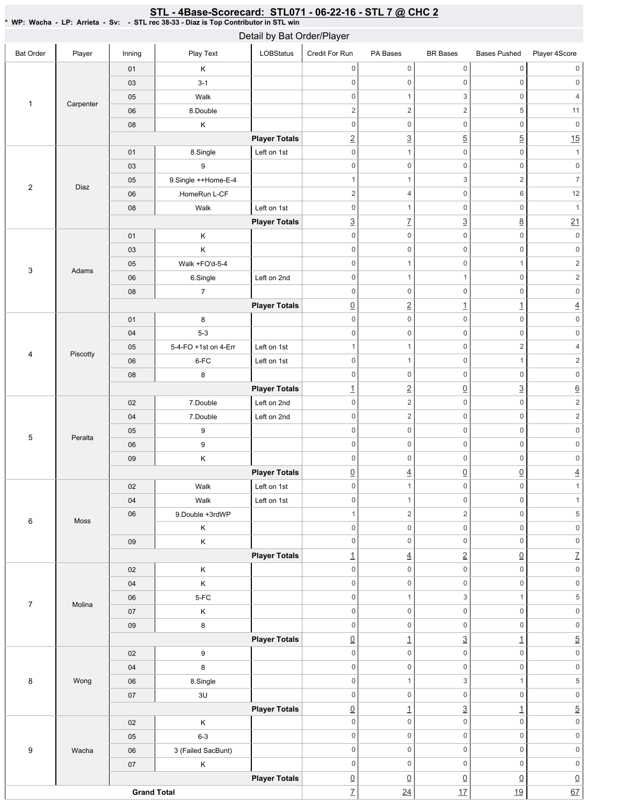|                  |           |                    | WP: Wacha - LP: Arrieta - Sv: - STL rec 38-33 - Diaz is Top Contributor in STL win | Detail by Bat Order/Player |                                   |                                       |                                |                                                 |                                       |
|------------------|-----------|--------------------|------------------------------------------------------------------------------------|----------------------------|-----------------------------------|---------------------------------------|--------------------------------|-------------------------------------------------|---------------------------------------|
| <b>Bat Order</b> | Player    | Inning             | Play Text                                                                          | LOBStatus                  | Credit For Run                    | PA Bases                              | <b>BR</b> Bases                | <b>Bases Pushed</b>                             | Player 4Score                         |
|                  |           | 01                 | Κ                                                                                  |                            | $\mathbf 0$                       | $\mathsf{O}\xspace$                   | $\mathsf 0$                    | $\mathsf{O}\xspace$                             | $\mathsf{O}\xspace$                   |
|                  |           | 03                 | $3 - 1$                                                                            |                            | $\mathbf 0$                       | $\boldsymbol{0}$                      | $\mathsf 0$                    | $\mathbf 0$                                     | $\mathbf 0$                           |
|                  |           | 05                 | Walk                                                                               |                            | $\mathbf 0$                       | $\mathbf{1}$                          | 3                              | $\mathbf 0$                                     | $\overline{4}$                        |
| $\mathbf{1}$     | Carpenter | 06                 | 8.Double                                                                           |                            | $\sqrt{2}$                        | $\overline{c}$                        | $\overline{c}$                 | $\sqrt{5}$                                      | $11$                                  |
|                  |           | 08                 | Κ                                                                                  |                            | $\mathbf 0$                       | $\boldsymbol{0}$                      | $\mathsf 0$                    | $\mathbf 0$                                     | $\mathsf 0$                           |
|                  |           |                    |                                                                                    | <b>Player Totals</b>       | $\overline{2}$                    | $\underline{3}$                       | $\overline{5}$                 | $\overline{5}$                                  | 15                                    |
|                  |           | 01                 | 8.Single                                                                           | Left on 1st                | $\mathbf 0$                       | $\mathbf{1}$                          | $\mathsf 0$                    | $\mathbf 0$                                     | $\mathbf{1}$                          |
|                  |           | 03                 | 9                                                                                  |                            | $\mathbf 0$                       | $\mathsf 0$                           | $\mathsf 0$                    | $\mathbf 0$                                     | $\mathbf 0$                           |
|                  |           | 05                 | 9.Single ++Home-E-4                                                                |                            | $\mathbf{1}$                      | 1                                     | 3                              | $\overline{2}$                                  | $\overline{7}$                        |
| $\sqrt{2}$       | Diaz      | 06                 | .HomeRun L-CF                                                                      |                            | $\overline{c}$                    | $\overline{4}$                        | $\mathsf 0$                    | $\,6\,$                                         | 12                                    |
|                  |           | 08                 | Walk                                                                               | Left on 1st                | $\mathbf 0$                       | $\mathbf{1}$                          | $\mathsf 0$                    | $\mathbf 0$                                     | $\mathbf{1}$                          |
|                  |           |                    |                                                                                    | <b>Player Totals</b>       | $\underline{3}$                   | $\underline{7}$                       | $\underline{3}$                | $\underline{8}$                                 | 21                                    |
|                  |           | 01                 | Κ                                                                                  |                            | $\mathbf 0$                       | $\mathsf 0$                           | $\mathsf 0$                    | $\mathbf 0$                                     | $\mathsf{O}\xspace$                   |
|                  |           | 03                 | Κ                                                                                  |                            | $\mathbf 0$                       | $\mathsf 0$                           | $\mathsf 0$                    | $\mathbf 0$                                     | $\mathsf{O}\xspace$                   |
|                  |           | 05                 | Walk +FO'd-5-4                                                                     |                            | $\mathbf 0$                       | $\mathbf{1}$                          | $\mathsf 0$                    | $\mathbf{1}$                                    | $\sqrt{2}$                            |
| 3                | Adams     | 06                 | 6.Single                                                                           | Left on 2nd                | $\mathbf 0$                       | 1                                     | 1                              | $\mathbf 0$                                     | $\sqrt{2}$                            |
|                  |           | 08                 | $\overline{7}$                                                                     |                            | $\mathbf 0$                       | $\mathsf 0$                           | $\mathsf 0$                    | $\mathbf 0$                                     | $\mathsf{O}\xspace$                   |
|                  |           |                    |                                                                                    | <b>Player Totals</b>       | $\underline{0}$                   | $\overline{2}$                        | $\overline{1}$                 | $\overline{1}$                                  | $\underline{4}$                       |
|                  |           | 01                 | 8                                                                                  |                            | $\mathbf 0$                       | $\mathsf 0$                           | $\mathsf 0$                    | $\mathbf 0$                                     | $\mathsf{O}\xspace$                   |
|                  |           | 04                 | $5-3$                                                                              |                            | $\mathbf 0$                       | $\mathsf 0$                           | $\mathsf 0$                    | $\mathbf 0$                                     | $\mathsf{O}\xspace$                   |
| 4                | Piscotty  | 05                 | 5-4-FO +1st on 4-Err                                                               | Left on 1st                | $\mathbf{1}$                      | $\mathbf{1}$                          | $\mathsf 0$                    | $\overline{2}$                                  | $\overline{4}$                        |
|                  |           | 06                 | 6-FC                                                                               | Left on 1st                | $\mathbf 0$                       | $\mathbf{1}$                          | 0                              | $\mathbf{1}$                                    | $\sqrt{2}$                            |
|                  |           | 08                 | 8                                                                                  |                            | $\mathbf 0$                       | $\boldsymbol{0}$                      | $\mathsf 0$                    | $\mathbf 0$                                     | $\mathsf{0}$                          |
|                  |           |                    |                                                                                    | <b>Player Totals</b>       | $\overline{1}$                    | $\underline{2}$                       | $\underline{0}$                | $\underline{3}$                                 | $\underline{6}$                       |
|                  |           | 02                 | 7.Double                                                                           | Left on 2nd                | $\mathbf 0$                       | $\overline{2}$                        | $\mathsf 0$                    | $\mathbf 0$                                     | $\sqrt{2}$                            |
|                  |           | 04                 | 7.Double                                                                           | Left on 2nd                | $\mathbf 0$                       | $\overline{2}$                        | 0                              | $\mathsf 0$                                     | $\overline{2}$                        |
| 5                | Peralta   | 05                 | 9                                                                                  |                            | $\mathbf 0$                       | 0                                     | $\mathsf 0$                    | $\mathsf{O}\xspace$                             | $\mathsf{O}\xspace$                   |
|                  |           | 06                 | 9                                                                                  |                            | $\mathbf 0$                       | $\mathsf{O}\xspace$                   | $\mathsf 0$                    | $\mathbf 0$                                     | $\mathsf{O}\xspace$                   |
|                  |           | 09                 | Κ                                                                                  |                            | $\mathbf 0$                       | $\mathsf{O}\xspace$                   | $\mathsf 0$                    | $\mathsf{O}\xspace$                             | $\mathsf{O}\xspace$                   |
|                  |           |                    |                                                                                    | <b>Player Totals</b>       | $\overline{0}$                    | 4                                     | $\mathbf 0$                    | $\mathsf{O}$                                    | 4                                     |
|                  |           | 02                 | Walk                                                                               | Left on 1st                | $\mathbf 0$                       | $\mathbf{1}$                          | $\mathsf 0$                    | $\mathbf 0$                                     | 1                                     |
|                  |           | 04                 | Walk                                                                               | Left on 1st                | $\mathbf 0$                       | $\mathbf{1}$                          | $\mathsf 0$                    | $\mathsf 0$                                     | $\mathbf{1}$                          |
| $\,6\,$          | Moss      | 06                 | 9.Double +3rdWP                                                                    |                            | $\mathbf{1}$                      | $\overline{2}$                        | $\sqrt{2}$                     | $\mathsf{O}\xspace$                             | $\,$ 5 $\,$                           |
|                  |           |                    | Κ                                                                                  |                            | $\mathbf 0$                       | 0                                     | $\mathsf 0$                    | $\mathbf 0$                                     | $\mathsf{O}\xspace$                   |
|                  |           | 09                 | Κ                                                                                  |                            | $\mathbf 0$                       | $\mathsf{O}\xspace$                   | $\mathsf 0$                    | $\mathbf 0$                                     | $\mathsf{O}\xspace$                   |
|                  |           |                    |                                                                                    | <b>Player Totals</b>       | $\overline{1}$                    | $\overline{4}$                        | $\underline{2}$                | $\underline{0}$                                 | $\overline{L}$                        |
|                  |           | 02                 | Κ                                                                                  |                            | $\boldsymbol{0}$                  | $\mathsf{O}\xspace$                   | $\mathsf 0$                    | $\mathsf{O}\xspace$                             | $\mathsf{O}\xspace$                   |
|                  |           | $04\,$             | Κ                                                                                  |                            | $\mathbf 0$                       | $\mathsf{O}\xspace$                   | $\mathsf 0$                    | $\mathbf 0$                                     | $\mathsf{O}\xspace$                   |
| $\overline{7}$   | Molina    | $06\,$             | 5-FC                                                                               |                            | $\boldsymbol{0}$                  | $\mathbf{1}$                          | 3                              | $\mathbf{1}$                                    | $\,$ 5 $\,$                           |
|                  |           | 07                 | Κ                                                                                  |                            | $\mathbf 0$                       | $\mathsf{O}\xspace$                   | $\mathsf 0$                    | $\mathbf 0$                                     | $\mathsf{O}\xspace$                   |
|                  |           | $09\,$             | 8                                                                                  |                            | $\mathbf 0$                       | 0                                     | $\mathsf 0$                    | $\mathbf 0$                                     | $\mathsf{O}\xspace$                   |
|                  |           |                    |                                                                                    | <b>Player Totals</b>       | $\underline{0}$                   | 1                                     | $\overline{3}$                 | $\underline{\mathbf{1}}$                        | $\overline{5}$                        |
|                  |           | 02                 | 9                                                                                  |                            | $\mathbf 0$                       | 0                                     | $\mathsf 0$                    | $\mathsf{O}\xspace$                             | $\mathsf{O}\xspace$                   |
|                  |           | 04                 | 8                                                                                  |                            | $\boldsymbol{0}$                  | 0                                     | $\mathsf 0$                    | $\mathbf 0$                                     | $\mathsf{O}\xspace$                   |
| $\,8\,$          | Wong      | 06                 | 8.Single                                                                           |                            | $\mathbf 0$                       | $\mathbf{1}$                          | 3                              | $\mathbf{1}$                                    | $\,$ 5 $\,$                           |
|                  |           | 07                 | $3\mathsf{U}$                                                                      |                            | $\boldsymbol{0}$                  | 0                                     | $\mathbf 0$                    | $\mathsf 0$                                     | $\mathsf{0}$                          |
|                  |           |                    |                                                                                    | <b>Player Totals</b>       | $\underline{0}$<br>$\mathbf 0$    | $\overline{1}$<br>$\mathsf{O}\xspace$ | $\underline{3}$<br>$\mathbf 0$ | $\underline{\mathbf{1}}$<br>$\mathsf{O}\xspace$ | $\overline{5}$<br>$\mathsf{O}\xspace$ |
|                  |           | 02                 | Κ                                                                                  |                            | $\mathbf 0$                       | $\mathsf{O}\xspace$                   | $\mathsf 0$                    | $\mathbf 0$                                     | $\mathsf{0}$                          |
|                  |           | 05                 | $6 - 3$                                                                            |                            | $\mathbf 0$                       | 0                                     | $\mathsf 0$                    | $\mathbf 0$                                     | $\mathsf{O}\xspace$                   |
| 9                | Wacha     | $06\,$             | 3 (Failed SacBunt)                                                                 |                            | $\mathbf 0$                       | $\mathsf{O}\xspace$                   | 0                              | $\mathbf 0$                                     | $\mathsf{O}\xspace$                   |
|                  |           | $07\,$             | Κ                                                                                  | <b>Player Totals</b>       |                                   | $\underline{0}$                       | $\underline{0}$                | $\underline{0}$                                 |                                       |
|                  |           | <b>Grand Total</b> |                                                                                    |                            | $\underline{0}$<br>$\overline{1}$ | 24                                    | 17                             | 19                                              | $\underline{0}$<br>67                 |
|                  |           |                    |                                                                                    |                            |                                   |                                       |                                |                                                 |                                       |

<u>STL - 4Base-Scorecard: STL071 - 06-22-16 - STL 7 @ CHC 2</u>